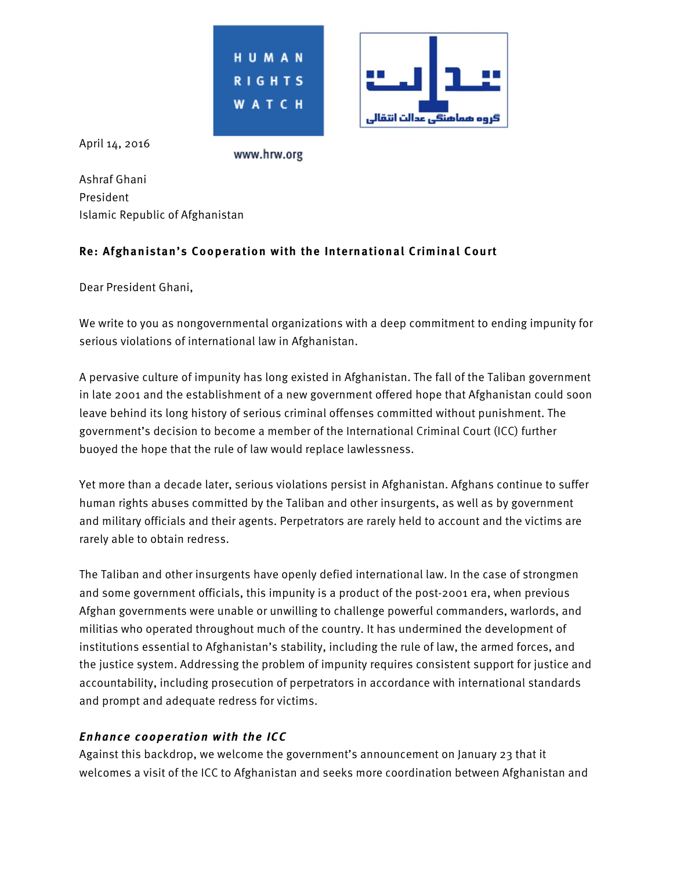



April 14, 2016

www.hrw.org

Ashraf Ghani President Islamic Republic of Afghanistan

## **Re: Afghanistan's Cooperation with the International Criminal Court**

Dear President Ghani,

We write to you as nongovernmental organizations with a deep commitment to ending impunity for serious violations of international law in Afghanistan.

A pervasive culture of impunity has long existed in Afghanistan. The fall of the Taliban government in late 2001 and the establishment of a new government offered hope that Afghanistan could soon leave behind its long history of serious criminal offenses committed without punishment. The government's decision to become a member of the International Criminal Court (ICC) further buoyed the hope that the rule of law would replace lawlessness.

Yet more than a decade later, serious violations persist in Afghanistan. Afghans continue to suffer human rights abuses committed by the Taliban and other insurgents, as well as by government and military officials and their agents. Perpetrators are rarely held to account and the victims are rarely able to obtain redress.

The Taliban and other insurgents have openly defied international law. In the case of strongmen and some government officials, this impunity is a product of the post-2001 era, when previous Afghan governments were unable or unwilling to challenge powerful commanders, warlords, and militias who operated throughout much of the country. It has undermined the development of institutions essential to Afghanistan's stability, including the rule of law, the armed forces, and the justice system. Addressing the problem of impunity requires consistent support for justice and accountability, including prosecution of perpetrators in accordance with international standards and prompt and adequate redress for victims.

## **Enhance cooperation with the ICC**

Against this backdrop, we welcome the government's announcement on January 23 that it welcomes a visit of the ICC to Afghanistan and seeks more coordination between Afghanistan and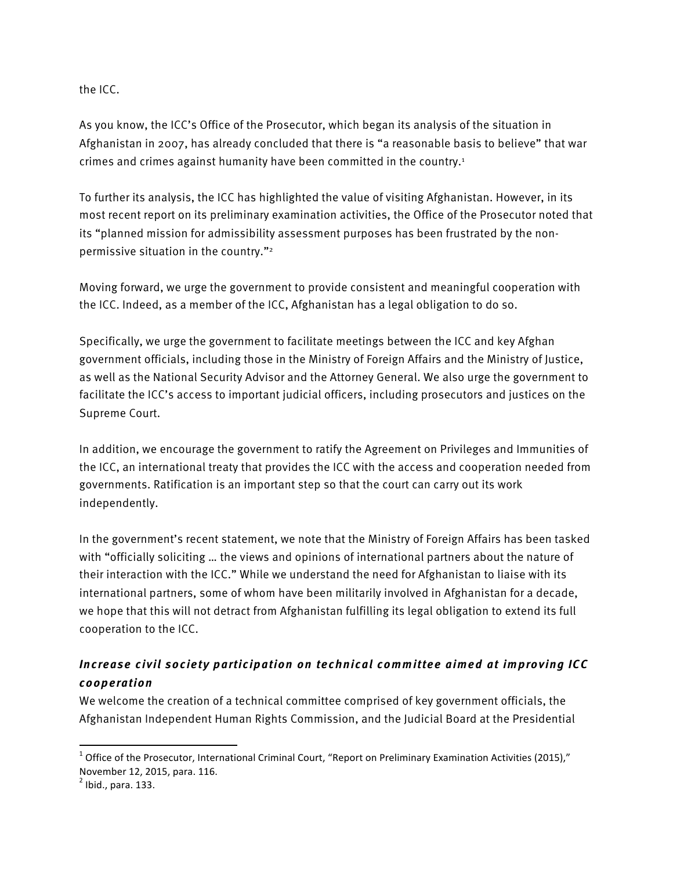the ICC.

As you know, the ICC's Office of the Prosecutor, which began its analysis of the situation in Afghanistan in 2007, has already concluded that there is "a reasonable basis to believe" that war crimes and crimes against humanity have been committed in the country.1

To further its analysis, the ICC has highlighted the value of visiting Afghanistan. However, in its most recent report on its preliminary examination activities, the Office of the Prosecutor noted that its "planned mission for admissibility assessment purposes has been frustrated by the nonpermissive situation in the country."2

Moving forward, we urge the government to provide consistent and meaningful cooperation with the ICC. Indeed, as a member of the ICC, Afghanistan has a legal obligation to do so.

Specifically, we urge the government to facilitate meetings between the ICC and key Afghan government officials, including those in the Ministry of Foreign Affairs and the Ministry of Justice, as well as the National Security Advisor and the Attorney General. We also urge the government to facilitate the ICC's access to important judicial officers, including prosecutors and justices on the Supreme Court.

In addition, we encourage the government to ratify the Agreement on Privileges and Immunities of the ICC, an international treaty that provides the ICC with the access and cooperation needed from governments. Ratification is an important step so that the court can carry out its work independently.

In the government's recent statement, we note that the Ministry of Foreign Affairs has been tasked with "officially soliciting … the views and opinions of international partners about the nature of their interaction with the ICC." While we understand the need for Afghanistan to liaise with its international partners, some of whom have been militarily involved in Afghanistan for a decade, we hope that this will not detract from Afghanistan fulfilling its legal obligation to extend its full cooperation to the ICC.

## **Increase civil society participation on technical committee aimed at improving ICC cooperation**

We welcome the creation of a technical committee comprised of key government officials, the Afghanistan Independent Human Rights Commission, and the Judicial Board at the Presidential

<u> 1989 - Johann Stein, markin film yn y breninn y breninn y breninn y breninn y breninn y breninn y breninn y b</u>

 $1$  Office of the Prosecutor, International Criminal Court, "Report on Preliminary Examination Activities (2015)," November 12, 2015, para. 116.<br> $^{2}$  Ibid., para. 133.